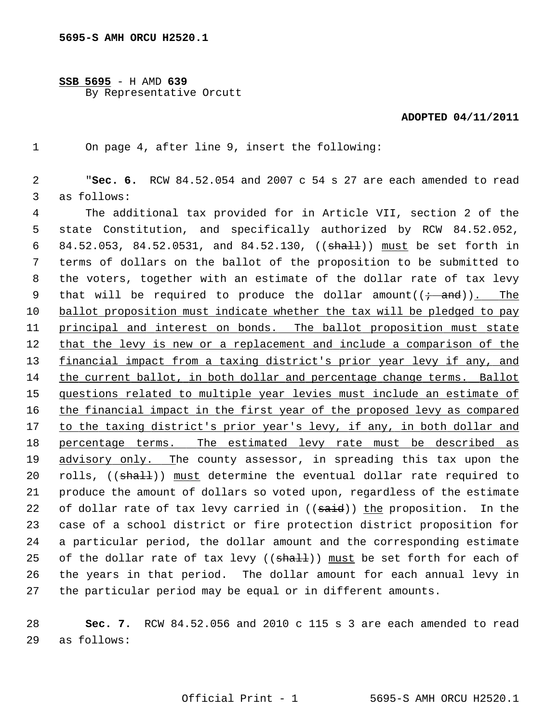**SSB 5695** - H AMD **639** By Representative Orcutt

## **ADOPTED 04/11/2011**

1 On page 4, after line 9, insert the following:

 2 "**Sec. 6.** RCW 84.52.054 and 2007 c 54 s 27 are each amended to read 3 as follows:

 4 The additional tax provided for in Article VII, section 2 of the 5 state Constitution, and specifically authorized by RCW 84.52.052, 6 84.52.053, 84.52.0531, and 84.52.130, ((shall)) must be set forth in 7 terms of dollars on the ballot of the proposition to be submitted to 8 the voters, together with an estimate of the dollar rate of tax levy 9 that will be required to produce the dollar amount $((\div \text{ and}))$ . The 10 ballot proposition must indicate whether the tax will be pledged to pay 11 principal and interest on bonds. The ballot proposition must state 12 that the levy is new or a replacement and include a comparison of the 13 financial impact from a taxing district's prior year levy if any, and 14 the current ballot, in both dollar and percentage change terms. Ballot 15 questions related to multiple year levies must include an estimate of 16 the financial impact in the first year of the proposed levy as compared 17 to the taxing district's prior year's levy, if any, in both dollar and 18 percentage terms. The estimated levy rate must be described as 19 advisory only. The county assessor, in spreading this tax upon the 20 rolls, ((shall)) must determine the eventual dollar rate required to 21 produce the amount of dollars so voted upon, regardless of the estimate 22 of dollar rate of tax levy carried in  $((\text{said}))$  the proposition. In the 23 case of a school district or fire protection district proposition for 24 a particular period, the dollar amount and the corresponding estimate 25 of the dollar rate of tax levy  $((shath))$  must be set forth for each of 26 the years in that period. The dollar amount for each annual levy in 27 the particular period may be equal or in different amounts.

28 **Sec. 7.** RCW 84.52.056 and 2010 c 115 s 3 are each amended to read 29 as follows: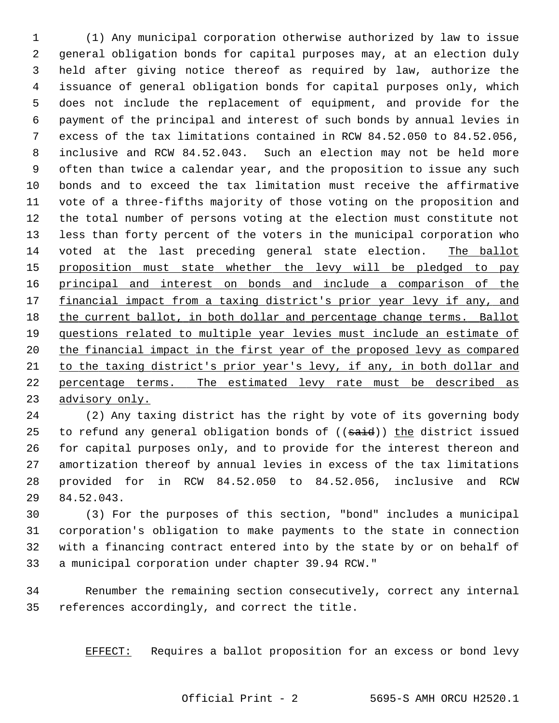1 (1) Any municipal corporation otherwise authorized by law to issue 2 general obligation bonds for capital purposes may, at an election duly 3 held after giving notice thereof as required by law, authorize the 4 issuance of general obligation bonds for capital purposes only, which 5 does not include the replacement of equipment, and provide for the 6 payment of the principal and interest of such bonds by annual levies in 7 excess of the tax limitations contained in RCW 84.52.050 to 84.52.056, 8 inclusive and RCW 84.52.043. Such an election may not be held more 9 often than twice a calendar year, and the proposition to issue any such 10 bonds and to exceed the tax limitation must receive the affirmative 11 vote of a three-fifths majority of those voting on the proposition and 12 the total number of persons voting at the election must constitute not 13 less than forty percent of the voters in the municipal corporation who 14 voted at the last preceding general state election. The ballot 15 proposition must state whether the levy will be pledged to pay 16 principal and interest on bonds and include a comparison of the 17 financial impact from a taxing district's prior year levy if any, and 18 the current ballot, in both dollar and percentage change terms. Ballot 19 questions related to multiple year levies must include an estimate of 20 the financial impact in the first year of the proposed levy as compared 21 to the taxing district's prior year's levy, if any, in both dollar and 22 percentage terms. The estimated levy rate must be described as 23 advisory only.

24 (2) Any taxing district has the right by vote of its governing body 25 to refund any general obligation bonds of  $((\text{said}))$  the district issued 26 for capital purposes only, and to provide for the interest thereon and 27 amortization thereof by annual levies in excess of the tax limitations 28 provided for in RCW 84.52.050 to 84.52.056, inclusive and RCW 29 84.52.043.

30 (3) For the purposes of this section, "bond" includes a municipal 31 corporation's obligation to make payments to the state in connection 32 with a financing contract entered into by the state by or on behalf of 33 a municipal corporation under chapter 39.94 RCW."

34 Renumber the remaining section consecutively, correct any internal 35 references accordingly, and correct the title.

EFFECT: Requires a ballot proposition for an excess or bond levy